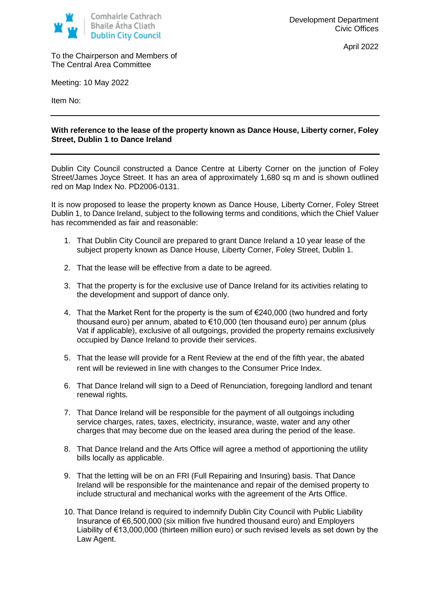

April 2022

To the Chairperson and Members of The Central Area Committee

Meeting: 10 May 2022

Item No:

## **With reference to the lease of the property known as Dance House, Liberty corner, Foley Street, Dublin 1 to Dance Ireland**

Dublin City Council constructed a Dance Centre at Liberty Corner on the junction of Foley Street/James Joyce Street. It has an area of approximately 1,680 sq m and is shown outlined red on Map Index No. PD2006-0131.

It is now proposed to lease the property known as Dance House, Liberty Corner, Foley Street Dublin 1, to Dance Ireland, subject to the following terms and conditions, which the Chief Valuer has recommended as fair and reasonable:

- 1. That Dublin City Council are prepared to grant Dance Ireland a 10 year lease of the subject property known as Dance House, Liberty Corner, Foley Street, Dublin 1.
- 2. That the lease will be effective from a date to be agreed.
- 3. That the property is for the exclusive use of Dance Ireland for its activities relating to the development and support of dance only.
- 4. That the Market Rent for the property is the sum of €240,000 (two hundred and forty thousand euro) per annum, abated to €10,000 (ten thousand euro) per annum (plus Vat if applicable), exclusive of all outgoings, provided the property remains exclusively occupied by Dance Ireland to provide their services.
- 5. That the lease will provide for a Rent Review at the end of the fifth year, the abated rent will be reviewed in line with changes to the Consumer Price Index.
- 6. That Dance Ireland will sign to a Deed of Renunciation, foregoing landlord and tenant renewal rights.
- 7. That Dance Ireland will be responsible for the payment of all outgoings including service charges, rates, taxes, electricity, insurance, waste, water and any other charges that may become due on the leased area during the period of the lease.
- 8. That Dance Ireland and the Arts Office will agree a method of apportioning the utility bills locally as applicable.
- 9. That the letting will be on an FRI (Full Repairing and Insuring) basis. That Dance Ireland will be responsible for the maintenance and repair of the demised property to include structural and mechanical works with the agreement of the Arts Office.
- 10. That Dance Ireland is required to indemnify Dublin City Council with Public Liability Insurance of €6,500,000 (six million five hundred thousand euro) and Employers Liability of €13,000,000 (thirteen million euro) or such revised levels as set down by the Law Agent.